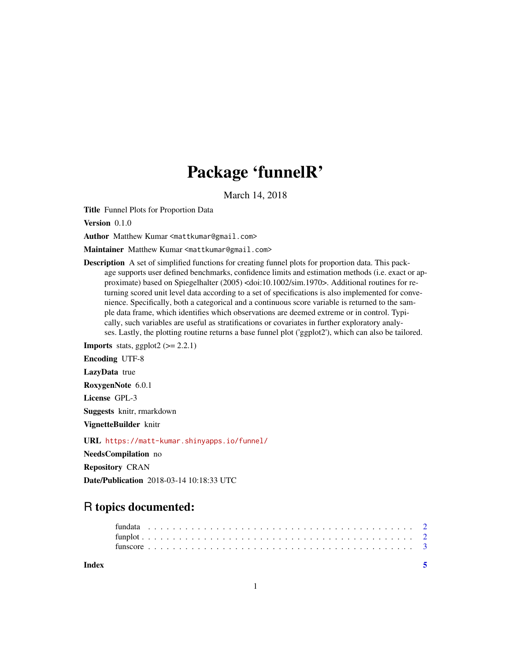# Package 'funnelR'

March 14, 2018

Title Funnel Plots for Proportion Data

Version 0.1.0

Author Matthew Kumar <mattkumar@gmail.com>

Maintainer Matthew Kumar <mattkumar@gmail.com>

Description A set of simplified functions for creating funnel plots for proportion data. This package supports user defined benchmarks, confidence limits and estimation methods (i.e. exact or approximate) based on Spiegelhalter (2005) <doi:10.1002/sim.1970>. Additional routines for returning scored unit level data according to a set of specifications is also implemented for convenience. Specifically, both a categorical and a continuous score variable is returned to the sample data frame, which identifies which observations are deemed extreme or in control. Typically, such variables are useful as stratifications or covariates in further exploratory analyses. Lastly, the plotting routine returns a base funnel plot ('ggplot2'), which can also be tailored.

**Imports** stats, ggplot2  $(>= 2.2.1)$ 

Encoding UTF-8

LazyData true

RoxygenNote 6.0.1

License GPL-3

Suggests knitr, rmarkdown

VignetteBuilder knitr

URL <https://matt-kumar.shinyapps.io/funnel/>

NeedsCompilation no

Repository CRAN

Date/Publication 2018-03-14 10:18:33 UTC

## R topics documented:

| Index |  |  |  |  |  |  |  |  |  |  |  |  |  |  |  |  |  |  |  |  |  |  |  |
|-------|--|--|--|--|--|--|--|--|--|--|--|--|--|--|--|--|--|--|--|--|--|--|--|
|       |  |  |  |  |  |  |  |  |  |  |  |  |  |  |  |  |  |  |  |  |  |  |  |
|       |  |  |  |  |  |  |  |  |  |  |  |  |  |  |  |  |  |  |  |  |  |  |  |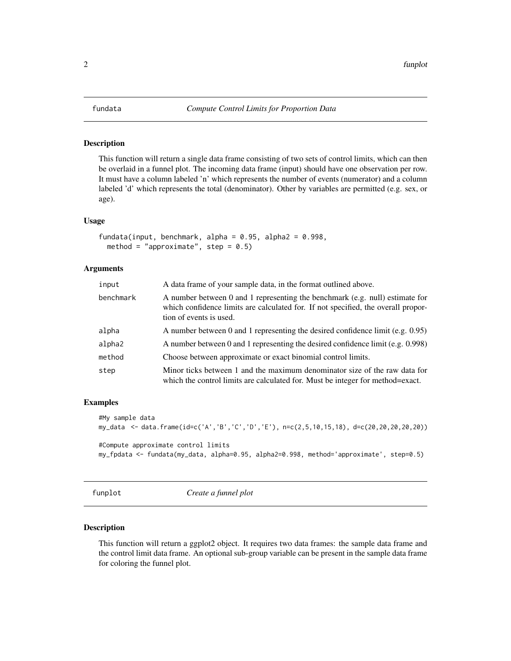<span id="page-1-0"></span>

#### Description

This function will return a single data frame consisting of two sets of control limits, which can then be overlaid in a funnel plot. The incoming data frame (input) should have one observation per row. It must have a column labeled 'n' which represents the number of events (numerator) and a column labeled 'd' which represents the total (denominator). Other by variables are permitted (e.g. sex, or age).

#### Usage

```
fundata(input, benchmark, alpha = 0.95, alpha2 = 0.998,
 method = "approximate", step = 0.5)
```
#### Arguments

| input     | A data frame of your sample data, in the format outlined above.                                                                                                                              |
|-----------|----------------------------------------------------------------------------------------------------------------------------------------------------------------------------------------------|
| benchmark | A number between 0 and 1 representing the benchmark (e.g. null) estimate for<br>which confidence limits are calculated for. If not specified, the overall propor-<br>tion of events is used. |
| alpha     | A number between 0 and 1 representing the desired confidence limit (e.g. $0.95$ )                                                                                                            |
| alpha2    | A number between 0 and 1 representing the desired confidence limit (e.g. 0.998)                                                                                                              |
| method    | Choose between approximate or exact binomial control limits.                                                                                                                                 |
| step      | Minor ticks between 1 and the maximum denominator size of the raw data for<br>which the control limits are calculated for. Must be integer for method=exact.                                 |

#### Examples

```
#My sample data
my_data <- data.frame(id=c('A','B','C','D','E'), n=c(2,5,10,15,18), d=c(20,20,20,20,20))
#Compute approximate control limits
my_fpdata <- fundata(my_data, alpha=0.95, alpha2=0.998, method='approximate', step=0.5)
```
funplot *Create a funnel plot*

#### **Description**

This function will return a ggplot2 object. It requires two data frames: the sample data frame and the control limit data frame. An optional sub-group variable can be present in the sample data frame for coloring the funnel plot.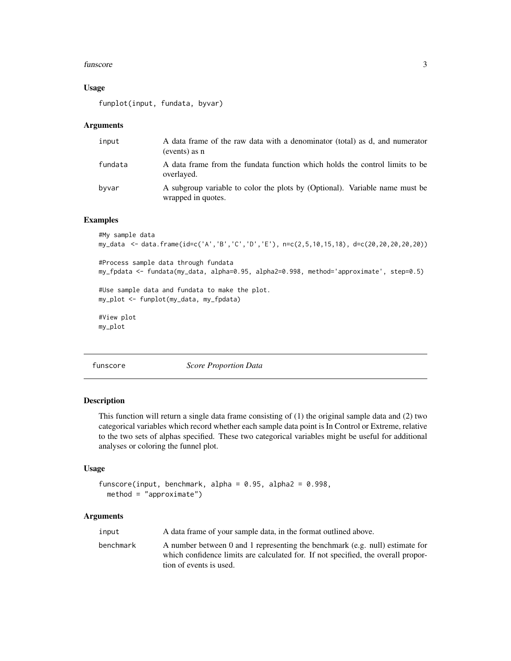#### <span id="page-2-0"></span>funscore  $\sim$  3

#### Usage

funplot(input, fundata, byvar)

#### Arguments

| input   | A data frame of the raw data with a denominator (total) as d, and numerator<br>(events) as n      |
|---------|---------------------------------------------------------------------------------------------------|
| fundata | A data frame from the fundata function which holds the control limits to be<br>overlayed.         |
| byvar   | A subgroup variable to color the plots by (Optional). Variable name must be<br>wrapped in quotes. |

#### Examples

```
#My sample data
my_data <- data.frame(id=c('A','B','C','D','E'), n=c(2,5,10,15,18), d=c(20,20,20,20,20))
#Process sample data through fundata
my_fpdata <- fundata(my_data, alpha=0.95, alpha2=0.998, method='approximate', step=0.5)
#Use sample data and fundata to make the plot.
my_plot <- funplot(my_data, my_fpdata)
#View plot
my_plot
```
funscore *Score Proportion Data*

#### Description

This function will return a single data frame consisting of (1) the original sample data and (2) two categorical variables which record whether each sample data point is In Control or Extreme, relative to the two sets of alphas specified. These two categorical variables might be useful for additional analyses or coloring the funnel plot.

#### Usage

```
funscore(input, benchmark, alpha = 0.95, alpha2 = 0.998,
 method = "approximate")
```
#### Arguments

| input     | A data frame of your sample data, in the format outlined above.                                                                                                                              |
|-----------|----------------------------------------------------------------------------------------------------------------------------------------------------------------------------------------------|
| benchmark | A number between 0 and 1 representing the benchmark (e.g. null) estimate for<br>which confidence limits are calculated for. If not specified, the overall propor-<br>tion of events is used. |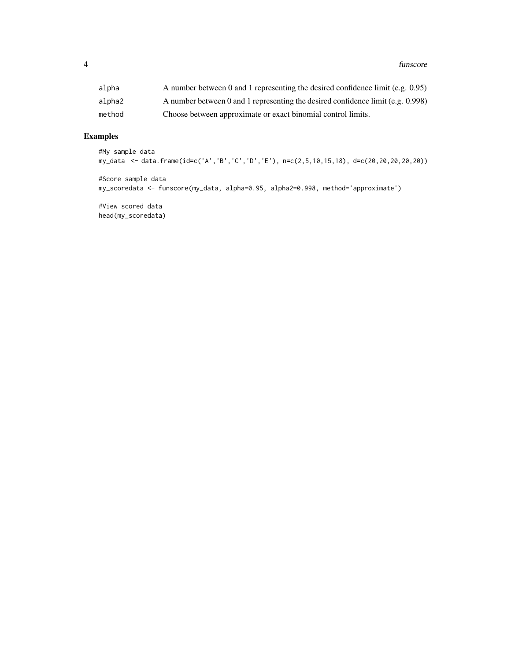| alpha  | A number between 0 and 1 representing the desired confidence limit (e.g. $0.95$ )  |
|--------|------------------------------------------------------------------------------------|
| alpha2 | A number between 0 and 1 representing the desired confidence limit (e.g. $0.998$ ) |
| method | Choose between approximate or exact binomial control limits.                       |

### Examples

```
#My sample data
my_data <- data.frame(id=c('A','B','C','D','E'), n=c(2,5,10,15,18), d=c(20,20,20,20,20))
```
#Score sample data my\_scoredata <- funscore(my\_data, alpha=0.95, alpha2=0.998, method='approximate')

#View scored data head(my\_scoredata)